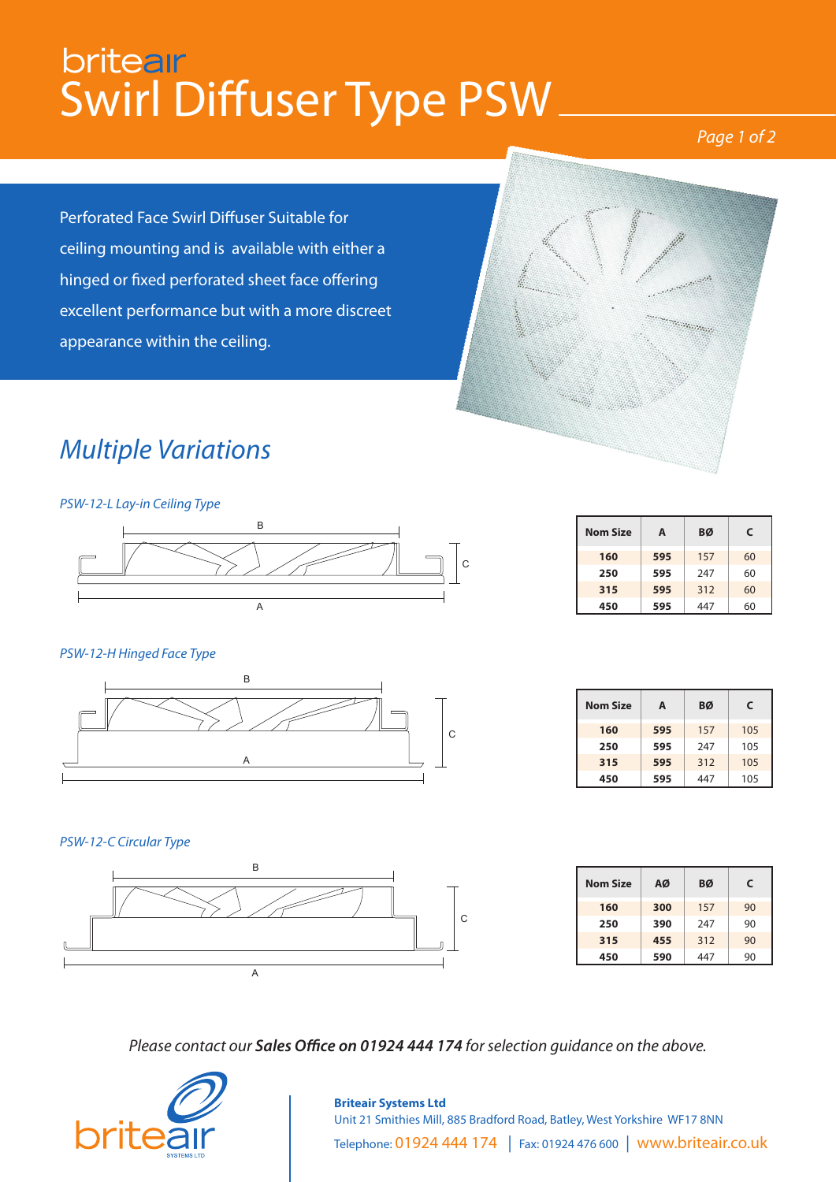# Swirl Diffuser Type PSW

*Page 1 of 2*

Perforated Face Swirl Diffuser Suitable for ceiling mounting and is available with either a hinged or fixed perforated sheet face offering excellent performance but with a more discreet appearance within the ceiling.

## *Multiple Variations*

#### *PSW-12-L Lay-in Ceiling Type*



#### *PSW-12-H Hinged Face Type*



| <b>Nom Size</b> | A   | BØ  | $\epsilon$ |
|-----------------|-----|-----|------------|
| 160             | 595 | 157 | 60         |
| 250             | 595 | 247 | 60         |
| 315             | 595 | 312 | 60         |
| 450             | 595 | 447 | 60         |

| <b>Nom Size</b> | А   | BØ  | C   |
|-----------------|-----|-----|-----|
| 160             | 595 | 157 | 105 |
| 250             | 595 | 247 | 105 |
| 315             | 595 | 312 | 105 |
| 450             | 595 | 447 | 105 |

#### *PSW-12-C Circular Type*



| <b>Nom Size</b> | ΑØ  | BØ  | C  |
|-----------------|-----|-----|----|
| 160             | 300 | 157 | 90 |
| 250             | 390 | 247 | 90 |
| 315             | 455 | 312 | 90 |
| 450             | 590 | 447 | 90 |

*Please contact our Sales Office on 01924 444 174 for selection guidance on the above.*



### **Briteair Systems Ltd** Unit 21 Smithies Mill, 885 Bradford Road, Batley, West Yorkshire WF17 8NN Telephone: 01924 444 174 | Fax: 01924 476 600 | www.briteair.co.uk